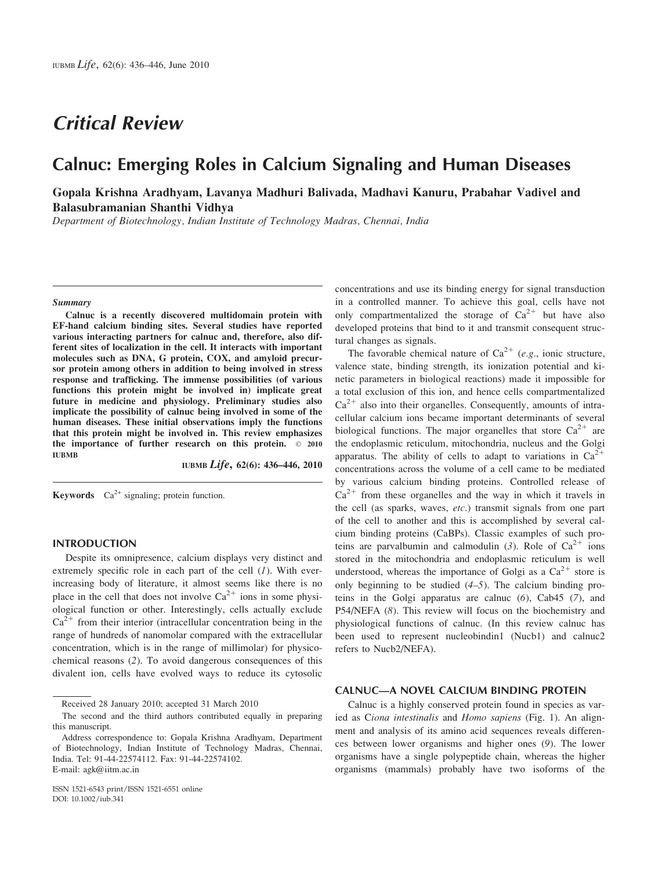# Critical Review

## Calnuc: Emerging Roles in Calcium Signaling and Human Diseases

Gopala Krishna Aradhyam, Lavanya Madhuri Balivada, Madhavi Kanuru, Prabahar Vadivel and Balasubramanian Shanthi Vidhya

Department of Biotechnology, Indian Institute of Technology Madras, Chennai, India

#### Summary

Calnuc is a recently discovered multidomain protein with EF-hand calcium binding sites. Several studies have reported various interacting partners for calnuc and, therefore, also different sites of localization in the cell. It interacts with important molecules such as DNA, G protein, COX, and amyloid precursor protein among others in addition to being involved in stress response and trafficking. The immense possibilities (of various functions this protein might be involved in) implicate great future in medicine and physiology. Preliminary studies also implicate the possibility of calnuc being involved in some of the human diseases. These initial observations imply the functions that this protein might be involved in. This review emphasizes the importance of further research on this protein.  $\circ$  2010 IUBMB

IUBMB Life, 62(6): 436–446, 2010

**Keywords**  $Ca^{2+}$  signaling; protein function.

## INTRODUCTION

Despite its omnipresence, calcium displays very distinct and extremely specific role in each part of the cell  $(1)$ . With everincreasing body of literature, it almost seems like there is no place in the cell that does not involve  $Ca^{2+}$  ions in some physiological function or other. Interestingly, cells actually exclude  $Ca^{2+}$  from their interior (intracellular concentration being in the range of hundreds of nanomolar compared with the extracellular concentration, which is in the range of millimolar) for physicochemical reasons (2). To avoid dangerous consequences of this divalent ion, cells have evolved ways to reduce its cytosolic

ISSN 1521-6543 print/ISSN 1521-6551 online DOI: 10.1002/iub.341

concentrations and use its binding energy for signal transduction in a controlled manner. To achieve this goal, cells have not only compartmentalized the storage of  $Ca^{2+}$  but have also developed proteins that bind to it and transmit consequent structural changes as signals.

The favorable chemical nature of  $Ca^{2+}$  (e.g., ionic structure, valence state, binding strength, its ionization potential and kinetic parameters in biological reactions) made it impossible for a total exclusion of this ion, and hence cells compartmentalized  $Ca<sup>2+</sup>$  also into their organelles. Consequently, amounts of intracellular calcium ions became important determinants of several biological functions. The major organelles that store  $Ca^{2+}$  are the endoplasmic reticulum, mitochondria, nucleus and the Golgi apparatus. The ability of cells to adapt to variations in  $Ca^{2+}$ concentrations across the volume of a cell came to be mediated by various calcium binding proteins. Controlled release of  $Ca^{2+}$  from these organelles and the way in which it travels in the cell (as sparks, waves, etc.) transmit signals from one part of the cell to another and this is accomplished by several calcium binding proteins (CaBPs). Classic examples of such proteins are parvalbumin and calmodulin (3). Role of  $Ca^{2+}$  ions stored in the mitochondria and endoplasmic reticulum is well understood, whereas the importance of Golgi as a  $Ca^{2+}$  store is only beginning to be studied  $(4-5)$ . The calcium binding proteins in the Golgi apparatus are calnuc (6), Cab45 (7), and P54/NEFA (8). This review will focus on the biochemistry and physiological functions of calnuc. (In this review calnuc has been used to represent nucleobindin1 (Nucb1) and calnuc2 refers to Nucb2/NEFA).

## CALNUC—A NOVEL CALCIUM BINDING PROTEIN

Calnuc is a highly conserved protein found in species as varied as Ciona intestinalis and Homo sapiens (Fig. 1). An alignment and analysis of its amino acid sequences reveals differences between lower organisms and higher ones (9). The lower organisms have a single polypeptide chain, whereas the higher organisms (mammals) probably have two isoforms of the

Received 28 January 2010; accepted 31 March 2010

The second and the third authors contributed equally in preparing this manuscript.

Address correspondence to: Gopala Krishna Aradhyam, Department of Biotechnology, Indian Institute of Technology Madras, Chennai, India. Tel: 91-44-22574112. Fax: 91-44-22574102. E-mail: agk@iitm.ac.in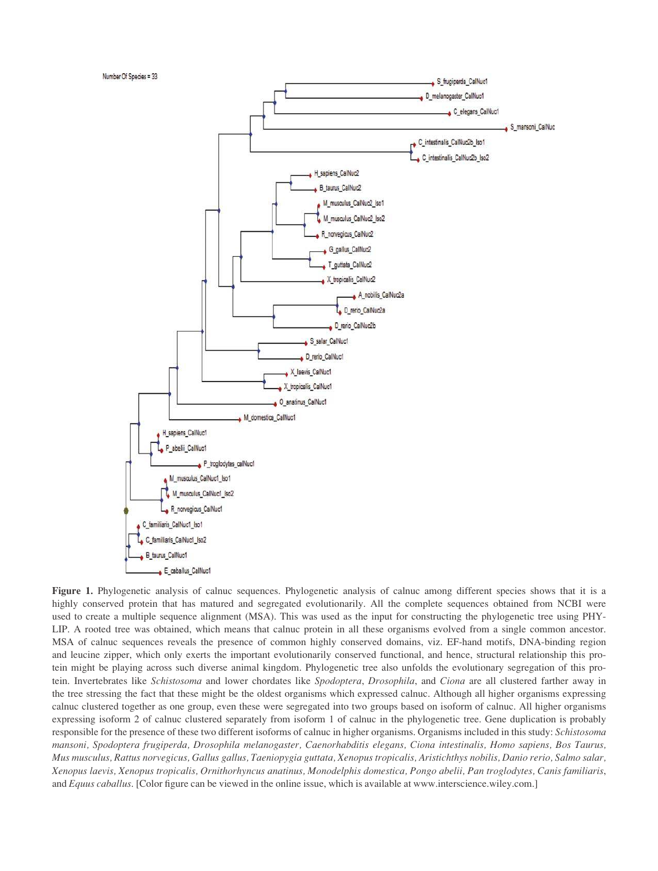

Figure 1. Phylogenetic analysis of calnuc sequences. Phylogenetic analysis of calnuc among different species shows that it is a highly conserved protein that has matured and segregated evolutionarily. All the complete sequences obtained from NCBI were used to create a multiple sequence alignment (MSA). This was used as the input for constructing the phylogenetic tree using PHY-LIP. A rooted tree was obtained, which means that calnuc protein in all these organisms evolved from a single common ancestor. MSA of calnuc sequences reveals the presence of common highly conserved domains, viz. EF-hand motifs, DNA-binding region and leucine zipper, which only exerts the important evolutionarily conserved functional, and hence, structural relationship this protein might be playing across such diverse animal kingdom. Phylogenetic tree also unfolds the evolutionary segregation of this protein. Invertebrates like Schistosoma and lower chordates like Spodoptera, Drosophila, and Ciona are all clustered farther away in the tree stressing the fact that these might be the oldest organisms which expressed calnuc. Although all higher organisms expressing calnuc clustered together as one group, even these were segregated into two groups based on isoform of calnuc. All higher organisms expressing isoform 2 of calnuc clustered separately from isoform 1 of calnuc in the phylogenetic tree. Gene duplication is probably responsible for the presence of these two different isoforms of calnuc in higher organisms. Organisms included in this study: Schistosoma mansoni, Spodoptera frugiperda, Drosophila melanogaster, Caenorhabditis elegans, Ciona intestinalis, Homo sapiens, Bos Taurus, Mus musculus, Rattus norvegicus, Gallus gallus, Taeniopygia guttata, Xenopus tropicalis, Aristichthys nobilis, Danio rerio, Salmo salar, Xenopus laevis, Xenopus tropicalis, Ornithorhyncus anatinus, Monodelphis domestica, Pongo abelii, Pan troglodytes, Canis familiaris, and *Equus caballus*. [Color figure can be viewed in the online issue, which is available at www.interscience.wiley.com.]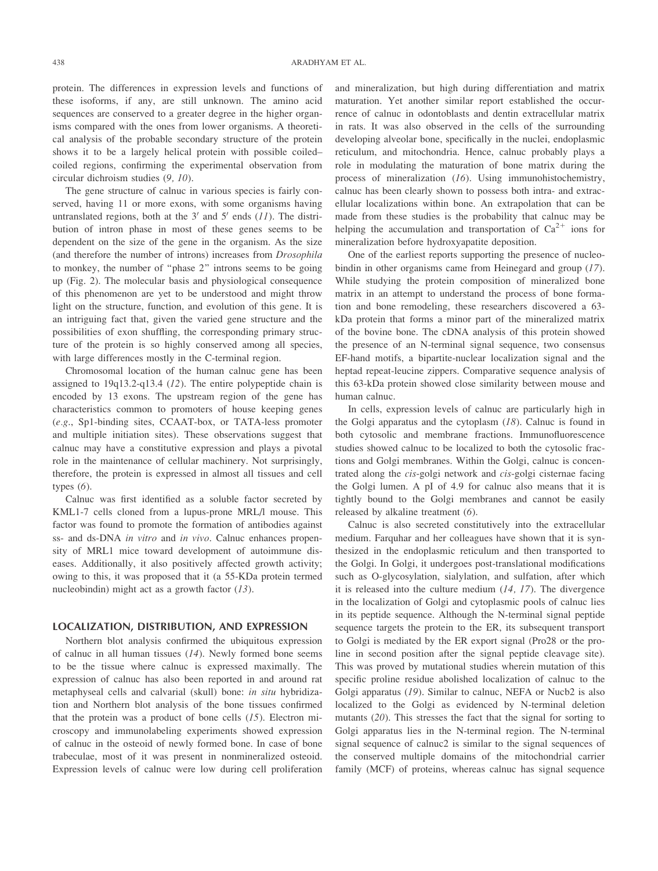protein. The differences in expression levels and functions of these isoforms, if any, are still unknown. The amino acid sequences are conserved to a greater degree in the higher organisms compared with the ones from lower organisms. A theoretical analysis of the probable secondary structure of the protein shows it to be a largely helical protein with possible coiled– coiled regions, confirming the experimental observation from circular dichroism studies (9, 10).

The gene structure of calnuc in various species is fairly conserved, having 11 or more exons, with some organisms having untranslated regions, both at the  $3'$  and  $5'$  ends  $(11)$ . The distribution of intron phase in most of these genes seems to be dependent on the size of the gene in the organism. As the size (and therefore the number of introns) increases from Drosophila to monkey, the number of ''phase 2'' introns seems to be going up (Fig. 2). The molecular basis and physiological consequence of this phenomenon are yet to be understood and might throw light on the structure, function, and evolution of this gene. It is an intriguing fact that, given the varied gene structure and the possibilities of exon shuffling, the corresponding primary structure of the protein is so highly conserved among all species, with large differences mostly in the C-terminal region.

Chromosomal location of the human calnuc gene has been assigned to 19q13.2-q13.4 (12). The entire polypeptide chain is encoded by 13 exons. The upstream region of the gene has characteristics common to promoters of house keeping genes (e.g., Sp1-binding sites, CCAAT-box, or TATA-less promoter and multiple initiation sites). These observations suggest that calnuc may have a constitutive expression and plays a pivotal role in the maintenance of cellular machinery. Not surprisingly, therefore, the protein is expressed in almost all tissues and cell types  $(6)$ .

Calnuc was first identified as a soluble factor secreted by KML1-7 cells cloned from a lupus-prone MRL/l mouse. This factor was found to promote the formation of antibodies against ss- and ds-DNA in vitro and in vivo. Calnuc enhances propensity of MRL1 mice toward development of autoimmune diseases. Additionally, it also positively affected growth activity; owing to this, it was proposed that it (a 55-KDa protein termed nucleobindin) might act as a growth factor  $(13)$ .

#### LOCALIZATION, DISTRIBUTION, AND EXPRESSION

Northern blot analysis confirmed the ubiquitous expression of calnuc in all human tissues  $(14)$ . Newly formed bone seems to be the tissue where calnuc is expressed maximally. The expression of calnuc has also been reported in and around rat metaphyseal cells and calvarial (skull) bone: in situ hybridization and Northern blot analysis of the bone tissues confirmed that the protein was a product of bone cells  $(15)$ . Electron microscopy and immunolabeling experiments showed expression of calnuc in the osteoid of newly formed bone. In case of bone trabeculae, most of it was present in nonmineralized osteoid. Expression levels of calnuc were low during cell proliferation and mineralization, but high during differentiation and matrix maturation. Yet another similar report established the occurrence of calnuc in odontoblasts and dentin extracellular matrix in rats. It was also observed in the cells of the surrounding developing alveolar bone, specifically in the nuclei, endoplasmic reticulum, and mitochondria. Hence, calnuc probably plays a role in modulating the maturation of bone matrix during the process of mineralization (16). Using immunohistochemistry, calnuc has been clearly shown to possess both intra- and extracellular localizations within bone. An extrapolation that can be made from these studies is the probability that calnuc may be helping the accumulation and transportation of  $Ca^{2+}$  ions for mineralization before hydroxyapatite deposition.

One of the earliest reports supporting the presence of nucleobindin in other organisms came from Heinegard and group (17). While studying the protein composition of mineralized bone matrix in an attempt to understand the process of bone formation and bone remodeling, these researchers discovered a 63 kDa protein that forms a minor part of the mineralized matrix of the bovine bone. The cDNA analysis of this protein showed the presence of an N-terminal signal sequence, two consensus EF-hand motifs, a bipartite-nuclear localization signal and the heptad repeat-leucine zippers. Comparative sequence analysis of this 63-kDa protein showed close similarity between mouse and human calnuc.

In cells, expression levels of calnuc are particularly high in the Golgi apparatus and the cytoplasm (18). Calnuc is found in both cytosolic and membrane fractions. Immunofluorescence studies showed calnuc to be localized to both the cytosolic fractions and Golgi membranes. Within the Golgi, calnuc is concentrated along the cis-golgi network and cis-golgi cisternae facing the Golgi lumen. A pI of 4.9 for calnuc also means that it is tightly bound to the Golgi membranes and cannot be easily released by alkaline treatment (6).

Calnuc is also secreted constitutively into the extracellular medium. Farquhar and her colleagues have shown that it is synthesized in the endoplasmic reticulum and then transported to the Golgi. In Golgi, it undergoes post-translational modifications such as O-glycosylation, sialylation, and sulfation, after which it is released into the culture medium  $(14, 17)$ . The divergence in the localization of Golgi and cytoplasmic pools of calnuc lies in its peptide sequence. Although the N-terminal signal peptide sequence targets the protein to the ER, its subsequent transport to Golgi is mediated by the ER export signal (Pro28 or the proline in second position after the signal peptide cleavage site). This was proved by mutational studies wherein mutation of this specific proline residue abolished localization of calnuc to the Golgi apparatus (19). Similar to calnuc, NEFA or Nucb2 is also localized to the Golgi as evidenced by N-terminal deletion mutants (20). This stresses the fact that the signal for sorting to Golgi apparatus lies in the N-terminal region. The N-terminal signal sequence of calnuc2 is similar to the signal sequences of the conserved multiple domains of the mitochondrial carrier family (MCF) of proteins, whereas calnuc has signal sequence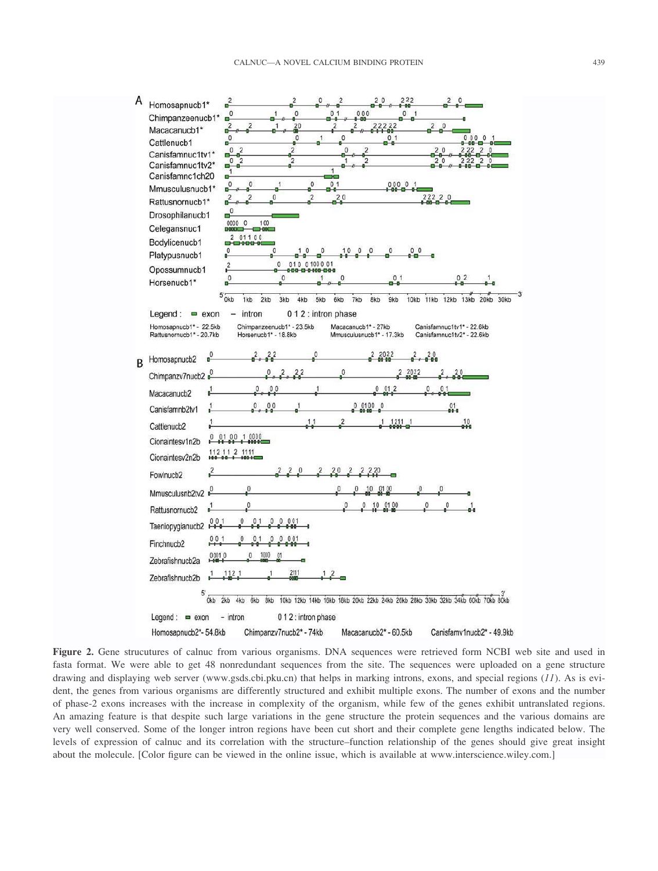

Figure 2. Gene strucutures of calnuc from various organisms. DNA sequences were retrieved form NCBI web site and used in fasta format. We were able to get 48 nonredundant sequences from the site. The sequences were uploaded on a gene structure drawing and displaying web server (www.gsds.cbi.pku.cn) that helps in marking introns, exons, and special regions (11). As is evident, the genes from various organisms are differently structured and exhibit multiple exons. The number of exons and the number of phase-2 exons increases with the increase in complexity of the organism, while few of the genes exhibit untranslated regions. An amazing feature is that despite such large variations in the gene structure the protein sequences and the various domains are very well conserved. Some of the longer intron regions have been cut short and their complete gene lengths indicated below. The levels of expression of calnuc and its correlation with the structure–function relationship of the genes should give great insight about the molecule. [Color figure can be viewed in the online issue, which is available at www.interscience.wiley.com.]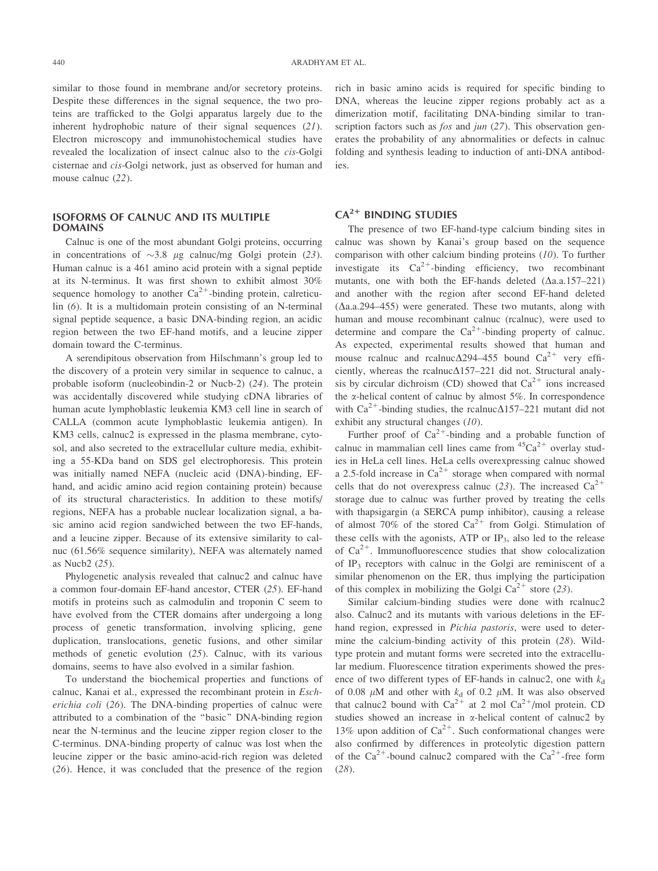similar to those found in membrane and/or secretory proteins. Despite these differences in the signal sequence, the two proteins are trafficked to the Golgi apparatus largely due to the inherent hydrophobic nature of their signal sequences (21). Electron microscopy and immunohistochemical studies have revealed the localization of insect calnuc also to the cis-Golgi cisternae and cis-Golgi network, just as observed for human and mouse calnuc (22).

## ISOFORMS OF CALNUC AND ITS MULTIPLE DOMAINS

Calnuc is one of the most abundant Golgi proteins, occurring in concentrations of  $\sim$ 3.8  $\mu$ g calnuc/mg Golgi protein (23). Human calnuc is a 461 amino acid protein with a signal peptide at its N-terminus. It was first shown to exhibit almost 30% sequence homology to another  $Ca^{2+}$ -binding protein, calreticulin (6). It is a multidomain protein consisting of an N-terminal signal peptide sequence, a basic DNA-binding region, an acidic region between the two EF-hand motifs, and a leucine zipper domain toward the C-terminus.

A serendipitous observation from Hilschmann's group led to the discovery of a protein very similar in sequence to calnuc, a probable isoform (nucleobindin-2 or Nucb-2) (24). The protein was accidentally discovered while studying cDNA libraries of human acute lymphoblastic leukemia KM3 cell line in search of CALLA (common acute lymphoblastic leukemia antigen). In KM3 cells, calnuc2 is expressed in the plasma membrane, cytosol, and also secreted to the extracellular culture media, exhibiting a 55-KDa band on SDS gel electrophoresis. This protein was initially named NEFA (nucleic acid (DNA)-binding, EFhand, and acidic amino acid region containing protein) because of its structural characteristics. In addition to these motifs/ regions, NEFA has a probable nuclear localization signal, a basic amino acid region sandwiched between the two EF-hands, and a leucine zipper. Because of its extensive similarity to calnuc (61.56% sequence similarity), NEFA was alternately named as Nucb2 (25).

Phylogenetic analysis revealed that calnuc2 and calnuc have a common four-domain EF-hand ancestor, CTER (25). EF-hand motifs in proteins such as calmodulin and troponin C seem to have evolved from the CTER domains after undergoing a long process of genetic transformation, involving splicing, gene duplication, translocations, genetic fusions, and other similar methods of genetic evolution (25). Calnuc, with its various domains, seems to have also evolved in a similar fashion.

To understand the biochemical properties and functions of calnuc, Kanai et al., expressed the recombinant protein in Escherichia coli (26). The DNA-binding properties of calnuc were attributed to a combination of the ''basic'' DNA-binding region near the N-terminus and the leucine zipper region closer to the C-terminus. DNA-binding property of calnuc was lost when the leucine zipper or the basic amino-acid-rich region was deleted (26). Hence, it was concluded that the presence of the region rich in basic amino acids is required for specific binding to DNA, whereas the leucine zipper regions probably act as a dimerization motif, facilitating DNA-binding similar to transcription factors such as *fos* and *jun* (27). This observation generates the probability of any abnormalities or defects in calnuc folding and synthesis leading to induction of anti-DNA antibodies.

## $CA<sup>2+</sup>$  BINDING STUDIES

The presence of two EF-hand-type calcium binding sites in calnuc was shown by Kanai's group based on the sequence comparison with other calcium binding proteins (10). To further investigate its  $Ca^{2+}$ -binding efficiency, two recombinant mutants, one with both the EF-hands deleted  $(\Delta a.a.157-221)$ and another with the region after second EF-hand deleted  $(\Delta a.a.294–455)$  were generated. These two mutants, along with human and mouse recombinant calnuc (rcalnuc), were used to determine and compare the  $Ca^{2+}$ -binding property of calnuc. As expected, experimental results showed that human and mouse rcalnuc and rcalnuc $\Delta$ 294–455 bound Ca<sup>2+</sup> very efficiently, whereas the rcalnuc $\Delta$ 157–221 did not. Structural analysis by circular dichroism (CD) showed that  $Ca^{2+}$  ions increased the  $\alpha$ -helical content of calnuc by almost 5%. In correspondence with  $Ca^{2+}$ -binding studies, the rcalnuc $\triangle$ 157–221 mutant did not exhibit any structural changes (10).

Further proof of  $Ca^{2+}$ -binding and a probable function of calnuc in mammalian cell lines came from  $45Ca^{2+}$  overlay studies in HeLa cell lines. HeLa cells overexpressing calnuc showed a 2.5-fold increase in  $Ca^{2+}$  storage when compared with normal cells that do not overexpress calnuc (23). The increased  $Ca^{2+}$ storage due to calnuc was further proved by treating the cells with thapsigargin (a SERCA pump inhibitor), causing a release of almost 70% of the stored  $Ca^{2+}$  from Golgi. Stimulation of these cells with the agonists,  $ATP$  or  $IP_3$ , also led to the release of  $Ca^{2+}$ . Immunofluorescence studies that show colocalization of IP<sub>3</sub> receptors with calnuc in the Golgi are reminiscent of a similar phenomenon on the ER, thus implying the participation of this complex in mobilizing the Golgi  $Ca^{2+}$  store (23).

Similar calcium-binding studies were done with rcalnuc2 also. Calnuc2 and its mutants with various deletions in the EFhand region, expressed in *Pichia pastoris*, were used to determine the calcium-binding activity of this protein (28). Wildtype protein and mutant forms were secreted into the extracellular medium. Fluorescence titration experiments showed the presence of two different types of EF-hands in calnuc2, one with  $k_d$ of 0.08  $\mu$ M and other with  $k_d$  of 0.2  $\mu$ M. It was also observed that calnuc2 bound with  $Ca^{2+}$  at 2 mol  $Ca^{2+}/$ mol protein. CD studies showed an increase in a-helical content of calnuc2 by 13% upon addition of  $Ca^{2+}$ . Such conformational changes were also confirmed by differences in proteolytic digestion pattern of the Ca<sup>2+</sup>-bound calnuc2 compared with the Ca<sup>2+</sup>-free form (28).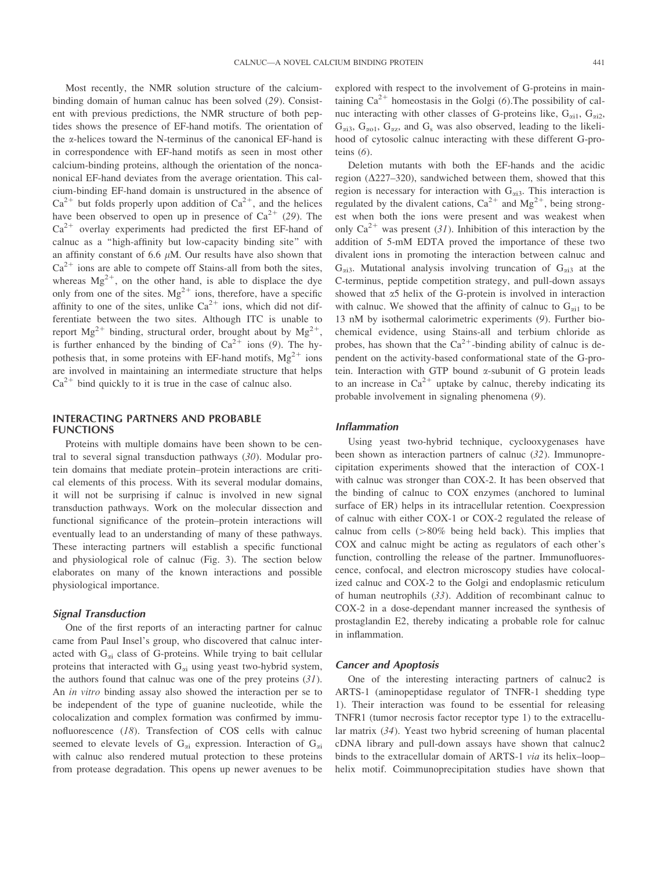Most recently, the NMR solution structure of the calciumbinding domain of human calnuc has been solved (29). Consistent with previous predictions, the NMR structure of both peptides shows the presence of EF-hand motifs. The orientation of the a-helices toward the N-terminus of the canonical EF-hand is in correspondence with EF-hand motifs as seen in most other calcium-binding proteins, although the orientation of the noncanonical EF-hand deviates from the average orientation. This calcium-binding EF-hand domain is unstructured in the absence of  $Ca^{2+}$  but folds properly upon addition of  $Ca^{2+}$ , and the helices have been observed to open up in presence of  $Ca^{2+}$  (29). The  $Ca<sup>2+</sup>$  overlay experiments had predicted the first EF-hand of calnuc as a ''high-affinity but low-capacity binding site'' with an affinity constant of 6.6  $\mu$ M. Our results have also shown that  $Ca<sup>2+</sup>$  ions are able to compete off Stains-all from both the sites, whereas  $Mg^{2+}$ , on the other hand, is able to displace the dye only from one of the sites.  $Mg^{2+}$  ions, therefore, have a specific affinity to one of the sites, unlike  $Ca^{2+}$  ions, which did not differentiate between the two sites. Although ITC is unable to report  $Mg^{2+}$  binding, structural order, brought about by  $Mg^{2+}$ , is further enhanced by the binding of  $Ca^{2+}$  ions (9). The hypothesis that, in some proteins with EF-hand motifs,  $Mg^{2+}$  ions are involved in maintaining an intermediate structure that helps  $Ca^{2+}$  bind quickly to it is true in the case of calnuc also.

## INTERACTING PARTNERS AND PROBABLE **FUNCTIONS**

Proteins with multiple domains have been shown to be central to several signal transduction pathways (30). Modular protein domains that mediate protein–protein interactions are critical elements of this process. With its several modular domains, it will not be surprising if calnuc is involved in new signal transduction pathways. Work on the molecular dissection and functional significance of the protein–protein interactions will eventually lead to an understanding of many of these pathways. These interacting partners will establish a specific functional and physiological role of calnuc (Fig. 3). The section below elaborates on many of the known interactions and possible physiological importance.

#### Signal Transduction

One of the first reports of an interacting partner for calnuc came from Paul Insel's group, who discovered that calnuc interacted with  $G_{\alpha i}$  class of G-proteins. While trying to bait cellular proteins that interacted with  $G_{\alpha i}$  using yeast two-hybrid system, the authors found that calnuc was one of the prey proteins (31). An *in vitro* binding assay also showed the interaction per se to be independent of the type of guanine nucleotide, while the colocalization and complex formation was confirmed by immunofluorescence (18). Transfection of COS cells with calnuc seemed to elevate levels of  $G_{\alpha i}$  expression. Interaction of  $G_{\alpha i}$ with calnuc also rendered mutual protection to these proteins from protease degradation. This opens up newer avenues to be explored with respect to the involvement of G-proteins in maintaining  $Ca^{2+}$  homeostasis in the Golgi (6). The possibility of calnuc interacting with other classes of G-proteins like,  $G_{\alpha i1}$ ,  $G_{\alpha i2}$ ,  $G_{\alpha i3}$ ,  $G_{\alpha o1}$ ,  $G_{\alpha z}$ , and  $G_s$  was also observed, leading to the likelihood of cytosolic calnuc interacting with these different G-proteins  $(6)$ .

Deletion mutants with both the EF-hands and the acidic region  $(\Delta 227-320)$ , sandwiched between them, showed that this region is necessary for interaction with  $G_{\alpha i3}$ . This interaction is regulated by the divalent cations,  $Ca^{2+}$  and  $Mg^{2+}$ , being strongest when both the ions were present and was weakest when only  $Ca^{2+}$  was present (31). Inhibition of this interaction by the addition of 5-mM EDTA proved the importance of these two divalent ions in promoting the interaction between calnuc and  $G_{\alpha i3}$ . Mutational analysis involving truncation of  $G_{\alpha i3}$  at the C-terminus, peptide competition strategy, and pull-down assays showed that  $\alpha$ 5 helix of the G-protein is involved in interaction with calnuc. We showed that the affinity of calnuc to  $G_{\alpha i1}$  to be 13 nM by isothermal calorimetric experiments (9). Further biochemical evidence, using Stains-all and terbium chloride as probes, has shown that the  $Ca^{2+}$ -binding ability of calnuc is dependent on the activity-based conformational state of the G-protein. Interaction with GTP bound a-subunit of G protein leads to an increase in  $Ca^{2+}$  uptake by calnuc, thereby indicating its probable involvement in signaling phenomena (9).

## Inflammation

Using yeast two-hybrid technique, cyclooxygenases have been shown as interaction partners of calnuc (32). Immunoprecipitation experiments showed that the interaction of COX-1 with calnuc was stronger than COX-2. It has been observed that the binding of calnuc to COX enzymes (anchored to luminal surface of ER) helps in its intracellular retention. Coexpression of calnuc with either COX-1 or COX-2 regulated the release of calnuc from cells  $(>80\%$  being held back). This implies that COX and calnuc might be acting as regulators of each other's function, controlling the release of the partner. Immunofluorescence, confocal, and electron microscopy studies have colocalized calnuc and COX-2 to the Golgi and endoplasmic reticulum of human neutrophils (33). Addition of recombinant calnuc to COX-2 in a dose-dependant manner increased the synthesis of prostaglandin E2, thereby indicating a probable role for calnuc in inflammation.

### Cancer and Apoptosis

One of the interesting interacting partners of calnuc2 is ARTS-1 (aminopeptidase regulator of TNFR-1 shedding type 1). Their interaction was found to be essential for releasing TNFR1 (tumor necrosis factor receptor type 1) to the extracellular matrix (34). Yeast two hybrid screening of human placental cDNA library and pull-down assays have shown that calnuc2 binds to the extracellular domain of ARTS-1 via its helix-loophelix motif. Coimmunoprecipitation studies have shown that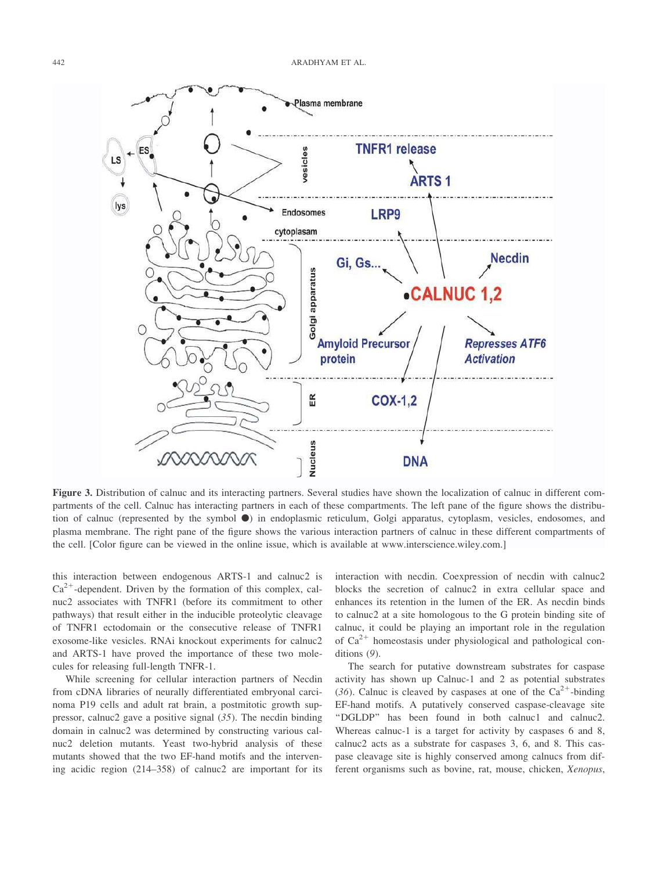

Figure 3. Distribution of calnuc and its interacting partners. Several studies have shown the localization of calnuc in different compartments of the cell. Calnuc has interacting partners in each of these compartments. The left pane of the figure shows the distribution of calnuc (represented by the symbol  $\bullet$ ) in endoplasmic reticulum, Golgi apparatus, cytoplasm, vesicles, endosomes, and plasma membrane. The right pane of the figure shows the various interaction partners of calnuc in these different compartments of the cell. [Color figure can be viewed in the online issue, which is available at www.interscience.wiley.com.]

this interaction between endogenous ARTS-1 and calnuc2 is  $Ca<sup>2+</sup>$ -dependent. Driven by the formation of this complex, calnuc2 associates with TNFR1 (before its commitment to other pathways) that result either in the inducible proteolytic cleavage of TNFR1 ectodomain or the consecutive release of TNFR1 exosome-like vesicles. RNAi knockout experiments for calnuc2 and ARTS-1 have proved the importance of these two molecules for releasing full-length TNFR-1.

While screening for cellular interaction partners of Necdin from cDNA libraries of neurally differentiated embryonal carcinoma P19 cells and adult rat brain, a postmitotic growth suppressor, calnuc2 gave a positive signal  $(35)$ . The necdin binding domain in calnuc2 was determined by constructing various calnuc2 deletion mutants. Yeast two-hybrid analysis of these mutants showed that the two EF-hand motifs and the intervening acidic region (214–358) of calnuc2 are important for its interaction with necdin. Coexpression of necdin with calnuc2 blocks the secretion of calnuc2 in extra cellular space and enhances its retention in the lumen of the ER. As necdin binds to calnuc2 at a site homologous to the G protein binding site of calnuc, it could be playing an important role in the regulation of  $Ca^{2+}$  homeostasis under physiological and pathological conditions  $(9)$ .

The search for putative downstream substrates for caspase activity has shown up Calnuc-1 and 2 as potential substrates (36). Calnuc is cleaved by caspases at one of the  $Ca^{2+}$ -binding EF-hand motifs. A putatively conserved caspase-cleavage site ''DGLDP'' has been found in both calnuc1 and calnuc2. Whereas calnuc-1 is a target for activity by caspases 6 and 8, calnuc2 acts as a substrate for caspases 3, 6, and 8. This caspase cleavage site is highly conserved among calnucs from different organisms such as bovine, rat, mouse, chicken, Xenopus,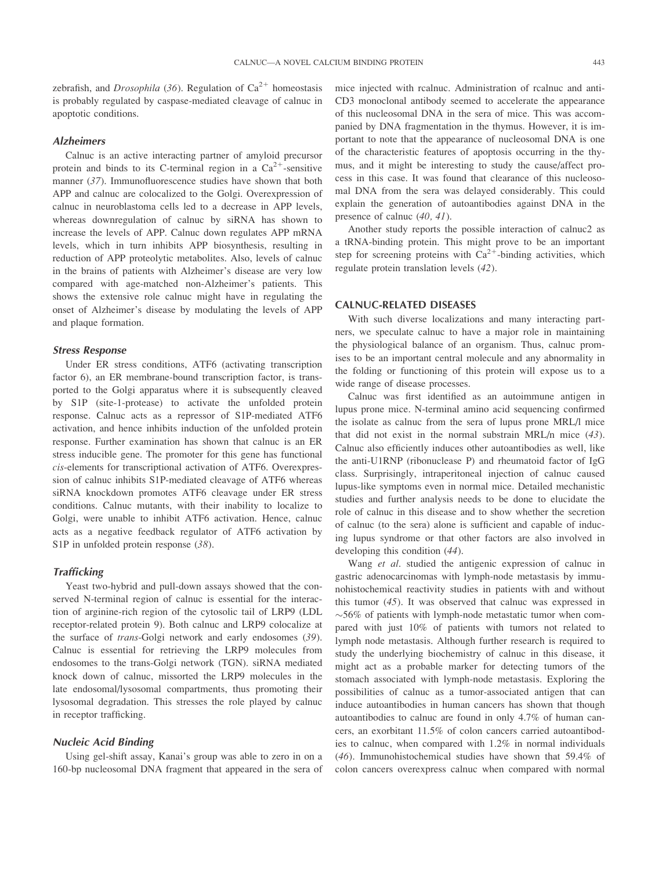zebrafish, and *Drosophila* (36). Regulation of  $Ca^{2+}$  homeostasis is probably regulated by caspase-mediated cleavage of calnuc in apoptotic conditions.

### Alzheimers

Calnuc is an active interacting partner of amyloid precursor protein and binds to its C-terminal region in a  $Ca^{2+}$ -sensitive manner (37). Immunofluorescence studies have shown that both APP and calnuc are colocalized to the Golgi. Overexpression of calnuc in neuroblastoma cells led to a decrease in APP levels, whereas downregulation of calnuc by siRNA has shown to increase the levels of APP. Calnuc down regulates APP mRNA levels, which in turn inhibits APP biosynthesis, resulting in reduction of APP proteolytic metabolites. Also, levels of calnuc in the brains of patients with Alzheimer's disease are very low compared with age-matched non-Alzheimer's patients. This shows the extensive role calnuc might have in regulating the onset of Alzheimer's disease by modulating the levels of APP and plaque formation.

#### Stress Response

Under ER stress conditions, ATF6 (activating transcription factor 6), an ER membrane-bound transcription factor, is transported to the Golgi apparatus where it is subsequently cleaved by S1P (site-1-protease) to activate the unfolded protein response. Calnuc acts as a repressor of S1P-mediated ATF6 activation, and hence inhibits induction of the unfolded protein response. Further examination has shown that calnuc is an ER stress inducible gene. The promoter for this gene has functional cis-elements for transcriptional activation of ATF6. Overexpression of calnuc inhibits S1P-mediated cleavage of ATF6 whereas siRNA knockdown promotes ATF6 cleavage under ER stress conditions. Calnuc mutants, with their inability to localize to Golgi, were unable to inhibit ATF6 activation. Hence, calnuc acts as a negative feedback regulator of ATF6 activation by S1P in unfolded protein response (38).

### **Trafficking**

Yeast two-hybrid and pull-down assays showed that the conserved N-terminal region of calnuc is essential for the interaction of arginine-rich region of the cytosolic tail of LRP9 (LDL receptor-related protein 9). Both calnuc and LRP9 colocalize at the surface of *trans*-Golgi network and early endosomes (39). Calnuc is essential for retrieving the LRP9 molecules from endosomes to the trans-Golgi network (TGN). siRNA mediated knock down of calnuc, missorted the LRP9 molecules in the late endosomal/lysosomal compartments, thus promoting their lysosomal degradation. This stresses the role played by calnuc in receptor trafficking.

### Nucleic Acid Binding

Using gel-shift assay, Kanai's group was able to zero in on a 160-bp nucleosomal DNA fragment that appeared in the sera of mice injected with rcalnuc. Administration of rcalnuc and anti-CD3 monoclonal antibody seemed to accelerate the appearance of this nucleosomal DNA in the sera of mice. This was accompanied by DNA fragmentation in the thymus. However, it is important to note that the appearance of nucleosomal DNA is one of the characteristic features of apoptosis occurring in the thymus, and it might be interesting to study the cause/affect process in this case. It was found that clearance of this nucleosomal DNA from the sera was delayed considerably. This could explain the generation of autoantibodies against DNA in the presence of calnuc (40, 41).

Another study reports the possible interaction of calnuc2 as a tRNA-binding protein. This might prove to be an important step for screening proteins with  $Ca^{2+}$ -binding activities, which regulate protein translation levels (42).

## CALNUC-RELATED DISEASES

With such diverse localizations and many interacting partners, we speculate calnuc to have a major role in maintaining the physiological balance of an organism. Thus, calnuc promises to be an important central molecule and any abnormality in the folding or functioning of this protein will expose us to a wide range of disease processes.

Calnuc was first identified as an autoimmune antigen in lupus prone mice. N-terminal amino acid sequencing confirmed the isolate as calnuc from the sera of lupus prone MRL/l mice that did not exist in the normal substrain MRL/n mice (43). Calnuc also efficiently induces other autoantibodies as well, like the anti-U1RNP (ribonuclease P) and rheumatoid factor of IgG class. Surprisingly, intraperitoneal injection of calnuc caused lupus-like symptoms even in normal mice. Detailed mechanistic studies and further analysis needs to be done to elucidate the role of calnuc in this disease and to show whether the secretion of calnuc (to the sera) alone is sufficient and capable of inducing lupus syndrome or that other factors are also involved in developing this condition (44).

Wang et al. studied the antigenic expression of calnuc in gastric adenocarcinomas with lymph-node metastasis by immunohistochemical reactivity studies in patients with and without this tumor (45). It was observed that calnuc was expressed in  $\sim$  56% of patients with lymph-node metastatic tumor when compared with just 10% of patients with tumors not related to lymph node metastasis. Although further research is required to study the underlying biochemistry of calnuc in this disease, it might act as a probable marker for detecting tumors of the stomach associated with lymph-node metastasis. Exploring the possibilities of calnuc as a tumor-associated antigen that can induce autoantibodies in human cancers has shown that though autoantibodies to calnuc are found in only 4.7% of human cancers, an exorbitant 11.5% of colon cancers carried autoantibodies to calnuc, when compared with 1.2% in normal individuals (46). Immunohistochemical studies have shown that 59.4% of colon cancers overexpress calnuc when compared with normal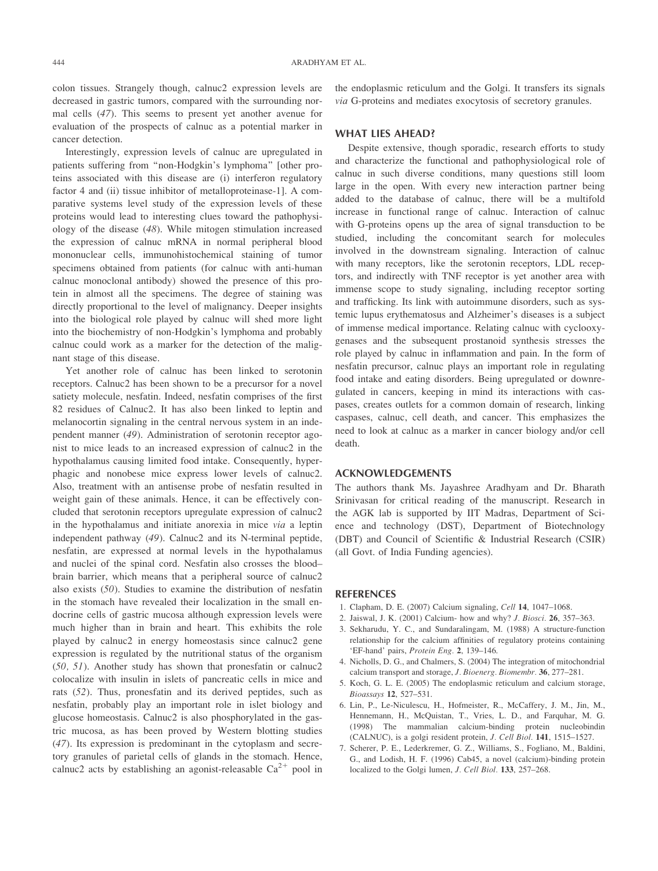colon tissues. Strangely though, calnuc2 expression levels are decreased in gastric tumors, compared with the surrounding normal cells (47). This seems to present yet another avenue for evaluation of the prospects of calnuc as a potential marker in cancer detection.

Interestingly, expression levels of calnuc are upregulated in patients suffering from ''non-Hodgkin's lymphoma'' [other proteins associated with this disease are (i) interferon regulatory factor 4 and (ii) tissue inhibitor of metalloproteinase-1]. A comparative systems level study of the expression levels of these proteins would lead to interesting clues toward the pathophysiology of the disease (48). While mitogen stimulation increased the expression of calnuc mRNA in normal peripheral blood mononuclear cells, immunohistochemical staining of tumor specimens obtained from patients (for calnuc with anti-human calnuc monoclonal antibody) showed the presence of this protein in almost all the specimens. The degree of staining was directly proportional to the level of malignancy. Deeper insights into the biological role played by calnuc will shed more light into the biochemistry of non-Hodgkin's lymphoma and probably calnuc could work as a marker for the detection of the malignant stage of this disease.

Yet another role of calnuc has been linked to serotonin receptors. Calnuc2 has been shown to be a precursor for a novel satiety molecule, nesfatin. Indeed, nesfatin comprises of the first 82 residues of Calnuc2. It has also been linked to leptin and melanocortin signaling in the central nervous system in an independent manner (49). Administration of serotonin receptor agonist to mice leads to an increased expression of calnuc2 in the hypothalamus causing limited food intake. Consequently, hyperphagic and nonobese mice express lower levels of calnuc2. Also, treatment with an antisense probe of nesfatin resulted in weight gain of these animals. Hence, it can be effectively concluded that serotonin receptors upregulate expression of calnuc2 in the hypothalamus and initiate anorexia in mice via a leptin independent pathway (49). Calnuc2 and its N-terminal peptide, nesfatin, are expressed at normal levels in the hypothalamus and nuclei of the spinal cord. Nesfatin also crosses the blood– brain barrier, which means that a peripheral source of calnuc2 also exists (50). Studies to examine the distribution of nesfatin in the stomach have revealed their localization in the small endocrine cells of gastric mucosa although expression levels were much higher than in brain and heart. This exhibits the role played by calnuc2 in energy homeostasis since calnuc2 gene expression is regulated by the nutritional status of the organism (50, 51). Another study has shown that pronesfatin or calnuc2 colocalize with insulin in islets of pancreatic cells in mice and rats (52). Thus, pronesfatin and its derived peptides, such as nesfatin, probably play an important role in islet biology and glucose homeostasis. Calnuc2 is also phosphorylated in the gastric mucosa, as has been proved by Western blotting studies (47). Its expression is predominant in the cytoplasm and secretory granules of parietal cells of glands in the stomach. Hence, calnuc2 acts by establishing an agonist-releasable  $Ca^{2+}$  pool in

the endoplasmic reticulum and the Golgi. It transfers its signals via G-proteins and mediates exocytosis of secretory granules.

#### WHAT LIES AHEAD?

Despite extensive, though sporadic, research efforts to study and characterize the functional and pathophysiological role of calnuc in such diverse conditions, many questions still loom large in the open. With every new interaction partner being added to the database of calnuc, there will be a multifold increase in functional range of calnuc. Interaction of calnuc with G-proteins opens up the area of signal transduction to be studied, including the concomitant search for molecules involved in the downstream signaling. Interaction of calnuc with many receptors, like the serotonin receptors, LDL receptors, and indirectly with TNF receptor is yet another area with immense scope to study signaling, including receptor sorting and trafficking. Its link with autoimmune disorders, such as systemic lupus erythematosus and Alzheimer's diseases is a subject of immense medical importance. Relating calnuc with cyclooxygenases and the subsequent prostanoid synthesis stresses the role played by calnuc in inflammation and pain. In the form of nesfatin precursor, calnuc plays an important role in regulating food intake and eating disorders. Being upregulated or downregulated in cancers, keeping in mind its interactions with caspases, creates outlets for a common domain of research, linking caspases, calnuc, cell death, and cancer. This emphasizes the need to look at calnuc as a marker in cancer biology and/or cell death.

#### ACKNOWLEDGEMENTS

The authors thank Ms. Jayashree Aradhyam and Dr. Bharath Srinivasan for critical reading of the manuscript. Research in the AGK lab is supported by IIT Madras, Department of Science and technology (DST), Department of Biotechnology (DBT) and Council of Scientific & Industrial Research (CSIR) (all Govt. of India Funding agencies).

#### REFERENCES

- 1. Clapham, D. E. (2007) Calcium signaling, Cell 14, 1047–1068.
- 2. Jaiswal, J. K. (2001) Calcium- how and why? J. Biosci. 26, 357–363.
- 3. Sekharudu, Y. C., and Sundaralingam, M. (1988) A structure-function relationship for the calcium affinities of regulatory proteins containing 'EF-hand' pairs, Protein Eng. 2, 139–146.
- 4. Nicholls, D. G., and Chalmers, S. (2004) The integration of mitochondrial calcium transport and storage, J. Bioenerg. Biomembr. 36, 277–281.
- 5. Koch, G. L. E. (2005) The endoplasmic reticulum and calcium storage, Bioassays 12, 527–531.
- 6. Lin, P., Le-Niculescu, H., Hofmeister, R., McCaffery, J. M., Jin, M., Hennemann, H., McQuistan, T., Vries, L. D., and Farquhar, M. G. (1998) The mammalian calcium-binding protein nucleobindin (CALNUC), is a golgi resident protein, J. Cell Biol. 141, 1515–1527.
- 7. Scherer, P. E., Lederkremer, G. Z., Williams, S., Fogliano, M., Baldini, G., and Lodish, H. F. (1996) Cab45, a novel (calcium)-binding protein localized to the Golgi lumen, *J. Cell Biol.* **133**, 257–268.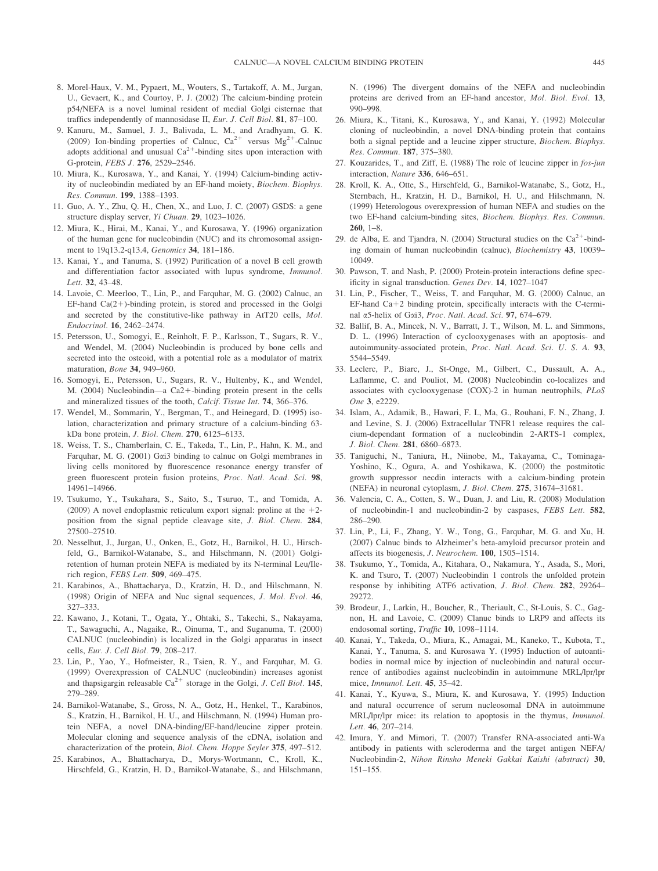- 8. Morel-Haux, V. M., Pypaert, M., Wouters, S., Tartakoff, A. M., Jurgan, U., Gevaert, K., and Courtoy, P. J. (2002) The calcium-binding protein p54/NEFA is a novel luminal resident of medial Golgi cisternae that traffics independently of mannosidase II, Eur. J. Cell Biol. 81, 87–100.
- 9. Kanuru, M., Samuel, J. J., Balivada, L. M., and Aradhyam, G. K. (2009) Ion-binding properties of Calnuc,  $Ca^{2+}$  versus  $Mg^{2+}$ -Calnuc adopts additional and unusual  $Ca^{2+}$ -binding sites upon interaction with G-protein, FEBS J. 276, 2529–2546.
- 10. Miura, K., Kurosawa, Y., and Kanai, Y. (1994) Calcium-binding activity of nucleobindin mediated by an EF-hand moiety, Biochem. Biophys. Res. Commun. 199, 1388–1393.
- 11. Guo, A. Y., Zhu, Q. H., Chen, X., and Luo, J. C. (2007) GSDS: a gene structure display server, Yi Chuan. 29, 1023–1026.
- 12. Miura, K., Hirai, M., Kanai, Y., and Kurosawa, Y. (1996) organization of the human gene for nucleobindin (NUC) and its chromosomal assignment to 19q13.2-q13.4, Genomics 34, 181–186.
- 13. Kanai, Y., and Tanuma, S. (1992) Purification of a novel B cell growth and differentiation factor associated with lupus syndrome, Immunol. Lett. 32, 43–48.
- 14. Lavoie, C. Meerloo, T., Lin, P., and Farquhar, M. G. (2002) Calnuc, an EF-hand  $Ca(2+)$ -binding protein, is stored and processed in the Golgi and secreted by the constitutive-like pathway in AtT20 cells, Mol. Endocrinol. 16, 2462–2474.
- 15. Petersson, U., Somogyi, E., Reinholt, F. P., Karlsson, T., Sugars, R. V., and Wendel, M. (2004) Nucleobindin is produced by bone cells and secreted into the osteoid, with a potential role as a modulator of matrix maturation, Bone 34, 949–960.
- 16. Somogyi, E., Petersson, U., Sugars, R. V., Hultenby, K., and Wendel, M. (2004) Nucleobindin—a Ca2+-binding protein present in the cells and mineralized tissues of the tooth, Calcif. Tissue Int. 74, 366–376.
- 17. Wendel, M., Sommarin, Y., Bergman, T., and Heinegard, D. (1995) isolation, characterization and primary structure of a calcium-binding 63 kDa bone protein, J. Biol. Chem. 270, 6125–6133.
- 18. Weiss, T. S., Chamberlain, C. E., Takeda, T., Lin, P., Hahn, K. M., and Farquhar, M. G. (2001) Gai3 binding to calnuc on Golgi membranes in living cells monitored by fluorescence resonance energy transfer of green fluorescent protein fusion proteins, Proc. Natl. Acad. Sci. 98, 14961–14966.
- 19. Tsukumo, Y., Tsukahara, S., Saito, S., Tsuruo, T., and Tomida, A. (2009) A novel endoplasmic reticulum export signal: proline at the  $+2$ position from the signal peptide cleavage site, J. Biol. Chem. 284, 27500–27510.
- 20. Nesselhut, J., Jurgan, U., Onken, E., Gotz, H., Barnikol, H. U., Hirschfeld, G., Barnikol-Watanabe, S., and Hilschmann, N. (2001) Golgiretention of human protein NEFA is mediated by its N-terminal Leu/Ilerich region, FEBS Lett. 509, 469–475.
- 21. Karabinos, A., Bhattacharya, D., Kratzin, H. D., and Hilschmann, N. (1998) Origin of NEFA and Nuc signal sequences, J. Mol. Evol. 46, 327–333.
- 22. Kawano, J., Kotani, T., Ogata, Y., Ohtaki, S., Takechi, S., Nakayama, T., Sawaguchi, A., Nagaike, R., Oinuma, T., and Suganuma, T. (2000) CALNUC (nucleobindin) is localized in the Golgi apparatus in insect cells, Eur. J. Cell Biol. 79, 208–217.
- 23. Lin, P., Yao, Y., Hofmeister, R., Tsien, R. Y., and Farquhar, M. G. (1999) Overexpression of CALNUC (nucleobindin) increases agonist and thapsigargin releasable  $Ca^{2+}$  storage in the Golgi, J. Cell Biol. 145, 279–289.
- 24. Barnikol-Watanabe, S., Gross, N. A., Gotz, H., Henkel, T., Karabinos, S., Kratzin, H., Barnikol, H. U., and Hilschmann, N. (1994) Human protein NEFA, a novel DNA-binding/EF-hand/leucine zipper protein. Molecular cloning and sequence analysis of the cDNA, isolation and characterization of the protein, Biol. Chem. Hoppe Seyler 375, 497–512.
- 25. Karabinos, A., Bhattacharya, D., Morys-Wortmann, C., Kroll, K., Hirschfeld, G., Kratzin, H. D., Barnikol-Watanabe, S., and Hilschmann,

N. (1996) The divergent domains of the NEFA and nucleobindin proteins are derived from an EF-hand ancestor, Mol. Biol. Evol. 13, 990–998.

- 26. Miura, K., Titani, K., Kurosawa, Y., and Kanai, Y. (1992) Molecular cloning of nucleobindin, a novel DNA-binding protein that contains both a signal peptide and a leucine zipper structure, Biochem. Biophys. Res. Commun. 187, 375–380.
- 27. Kouzarides, T., and Ziff, E. (1988) The role of leucine zipper in fos-jun interaction, Nature 336, 646–651.
- 28. Kroll, K. A., Otte, S., Hirschfeld, G., Barnikol-Watanabe, S., Gotz, H., Sternbach, H., Kratzin, H. D., Barnikol, H. U., and Hilschmann, N. (1999) Heterologous overexpression of human NEFA and studies on the two EF-hand calcium-binding sites, Biochem. Biophys. Res. Commun.  $260, 1-8.$
- 29. de Alba, E. and Tjandra, N. (2004) Structural studies on the  $Ca^{2+}$ -binding domain of human nucleobindin (calnuc), Biochemistry 43, 10039– 10049.
- 30. Pawson, T. and Nash, P. (2000) Protein-protein interactions define specificity in signal transduction. Genes Dev. 14, 1027–1047
- 31. Lin, P., Fischer, T., Weiss, T. and Farquhar, M. G. (2000) Calnuc, an EF-hand  $Ca+2$  binding protein, specifically interacts with the C-terminal  $\alpha$ 5-helix of G $\alpha$ i3, Proc. Natl. Acad. Sci. 97, 674–679.
- 32. Ballif, B. A., Mincek, N. V., Barratt, J. T., Wilson, M. L. and Simmons, D. L. (1996) Interaction of cyclooxygenases with an apoptosis- and autoimmunity-associated protein, Proc. Natl. Acad. Sci. U. S. A. 93, 5544–5549.
- 33. Leclerc, P., Biarc, J., St-Onge, M., Gilbert, C., Dussault, A. A., Laflamme, C. and Pouliot, M. (2008) Nucleobindin co-localizes and associates with cyclooxygenase (COX)-2 in human neutrophils, PLoS One 3, e2229.
- 34. Islam, A., Adamik, B., Hawari, F. I., Ma, G., Rouhani, F. N., Zhang, J. and Levine, S. J. (2006) Extracellular TNFR1 release requires the calcium-dependant formation of a nucleobindin 2-ARTS-1 complex, J. Biol. Chem. 281, 6860–6873.
- 35. Taniguchi, N., Taniura, H., Niinobe, M., Takayama, C., Tominaga-Yoshino, K., Ogura, A. and Yoshikawa, K. (2000) the postmitotic growth suppressor necdin interacts with a calcium-binding protein (NEFA) in neuronal cytoplasm, J. Biol. Chem. 275, 31674–31681.
- 36. Valencia, C. A., Cotten, S. W., Duan, J. and Liu, R. (2008) Modulation of nucleobindin-1 and nucleobindin-2 by caspases, FEBS Lett. 582, 286–290.
- 37. Lin, P., Li, F., Zhang, Y. W., Tong, G., Farquhar, M. G. and Xu, H. (2007) Calnuc binds to Alzheimer's beta-amyloid precursor protein and affects its biogenesis, J. Neurochem. 100, 1505–1514.
- 38. Tsukumo, Y., Tomida, A., Kitahara, O., Nakamura, Y., Asada, S., Mori, K. and Tsuro, T. (2007) Nucleobindin 1 controls the unfolded protein response by inhibiting ATF6 activation, J. Biol. Chem. 282, 29264– 29272.
- 39. Brodeur, J., Larkin, H., Boucher, R., Theriault, C., St-Louis, S. C., Gagnon, H. and Lavoie, C. (2009) Clanuc binds to LRP9 and affects its endosomal sorting, Traffic 10, 1098–1114.
- 40. Kanai, Y., Takeda, O., Miura, K., Amagai, M., Kaneko, T., Kubota, T., Kanai, Y., Tanuma, S. and Kurosawa Y. (1995) Induction of autoantibodies in normal mice by injection of nucleobindin and natural occurrence of antibodies against nucleobindin in autoimmune MRL/lpr/lpr mice, Immunol. Lett. 45, 35–42.
- 41. Kanai, Y., Kyuwa, S., Miura, K. and Kurosawa, Y. (1995) Induction and natural occurrence of serum nucleosomal DNA in autoimmune MRL/lpr/lpr mice: its relation to apoptosis in the thymus, Immunol. Lett. 46, 207–214.
- 42. Imura, Y. and Mimori, T. (2007) Transfer RNA-associated anti-Wa antibody in patients with scleroderma and the target antigen NEFA/ Nucleobindin-2, Nihon Rinsho Meneki Gakkai Kaishi (abstract) 30, 151–155.